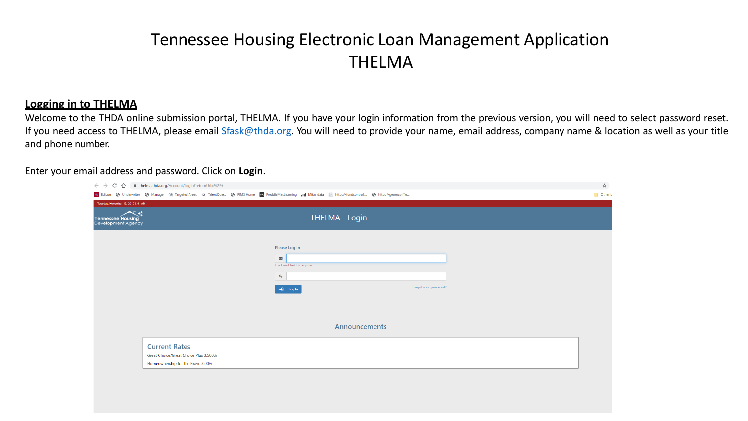## Tennessee Housing Electronic Loan Management Application THELMA

## **Logging in to THELMA**

Welcome to the THDA online submission portal, THELMA. If you have your login information from the previous version, you will need to select password reset. If you need access to THELMA, please email [Sfask@thda.org.](mailto:Sfask@thda.org) You will need to provide your name, email address, company name & location as well as your title and phone number.

Enter your email address and password. Click on **Login**.

| $\rightarrow$ $\mathbb{C}$ $\hat{\Omega}$ $\hat{\mathbb{H}}$ thelma.thda.org/Account/Login?returnUrl=%2F#                                                               |                                                                                        |                       | $\frac{1}{\sqrt{2}}$ |
|-------------------------------------------------------------------------------------------------------------------------------------------------------------------------|----------------------------------------------------------------------------------------|-----------------------|----------------------|
| ison in https://fundcontrol in Manage and Targeted Areas Tu. TalentQuest in PIMS Home A FreddieMacLearning 111 Mitas data in https://fundcontrol in https://geomap.ffie |                                                                                        |                       | <b>D</b> , Other     |
| lay, November 12, 2019 8:41 AM                                                                                                                                          |                                                                                        |                       |                      |
| 人性<br><b>nessee Housing</b><br><b>elopment Agency</b>                                                                                                                   | <b>THELMA - Login</b>                                                                  |                       |                      |
|                                                                                                                                                                         | Please Log In<br>N<br>The Email field is required.<br>$a_{\rm e}$<br>$\bigcirc$ Log In | Forgot your password? |                      |
|                                                                                                                                                                         | <b>Announcements</b>                                                                   |                       |                      |
| <b>Current Rates</b><br>Great Choice/Great Choice Plus 3.500%<br>Homeownership for the Brave 3.00%                                                                      |                                                                                        |                       |                      |
|                                                                                                                                                                         |                                                                                        |                       |                      |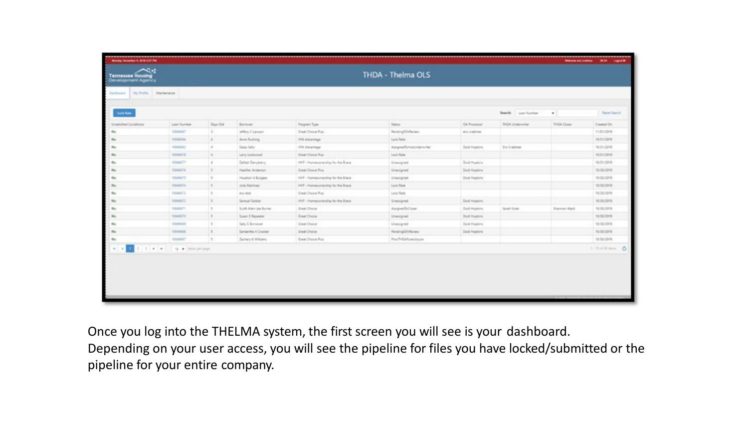| Maintenance<br>My Profile<br>Triadella<br>Lock Rate<br>Loan Number<br>Search:<br>٠<br>Days Old<br>Status<br>CA Processor<br>SiGA Down<br>Unselehed Conditions<br>Loan Number<br>Borrower<br><b>Program Type</b><br>THOIL Underwriter<br>100stm27<br>Creat: Driving Plus<br>Tenting23ARaulau<br>Jeffery C Lanson<br>and collibrat<br>10040104<br>Area Rushing<br>15% Aduarbage<br>Lock Rate<br>$\ddot{a}$<br>to.<br>10040RD1<br>Samy Sally<br>HRLABartlage<br>AssynalTohosUnderwriter<br>Dedi Hopkins<br><b>Dru Cratcheer</b><br>No<br>$\sim$<br>Sheat Dysley Plus<br>10048578<br>$\overline{a}$<br>Larry Lechwood<br>Lock Rate<br>No.<br>100mln(77)<br>Deliah Decykery<br>100 - Hunesweetig for the Breve.<br>Dod Hopkins<br>Unexpired<br>to.<br>$\overline{A}$<br>10040676<br>Heather Anderson<br>Great Disnot Plus<br>Dod Hapkins<br>$\mathbb{R}$<br>Unesigned<br>No.<br>sed - Homeovership for the Brave<br>10040875<br>Houston A Burgess<br><b>Dod Hopkins</b><br>$\mathcal{D}$<br>to.<br><b>Unaccipied</b><br>10040074<br>$\mathcal{L}$<br>After Martinez<br>HHF - Homeoweaky for the Boue<br>Lock Rate<br>No<br>Great Droice Plus<br>10048873<br>Linck Rade<br>3<br>wic text<br>ы.<br>Samuel Soldier<br>160 - Homeburgroßig für the Brave<br>10040571<br>Ded Hopkins<br>Unerspred.<br>100406.71<br>n.<br>Scott Allen Las Burrac<br><b>Great Diseas</b><br>Assignation Control<br>Cool Hopkins<br>Sarah Soler<br>No.<br>Sharenan Ward<br>$5 -$<br>Susan 5 Repeater<br>Great Dioice<br>10040670<br>Dock Hughins<br>No.<br>Unexigned<br>100403418<br>Saty 5 Bernardt<br>Gear Docum<br>Ded Hopkins<br>$\mathbf{1}$<br>Unesigned<br>No.<br>Samerita A Dacker<br><b>Great Disice</b><br>PendingSENReview<br>10040404<br>$\frac{1}{2}$<br>Ded Hopkins<br>No.<br>13<br>Frantisch/crecksure<br>10040667<br>Zachary KVIStams<br>Dreat Draws Plus<br>to:<br>19. W Hern per year.<br>1.111 | $\mathcal{L}(\mathbf{r})$<br>Tennessee Housing<br>Development Agency |  |  | THDA - Thelma OLS |  |                 |
|--------------------------------------------------------------------------------------------------------------------------------------------------------------------------------------------------------------------------------------------------------------------------------------------------------------------------------------------------------------------------------------------------------------------------------------------------------------------------------------------------------------------------------------------------------------------------------------------------------------------------------------------------------------------------------------------------------------------------------------------------------------------------------------------------------------------------------------------------------------------------------------------------------------------------------------------------------------------------------------------------------------------------------------------------------------------------------------------------------------------------------------------------------------------------------------------------------------------------------------------------------------------------------------------------------------------------------------------------------------------------------------------------------------------------------------------------------------------------------------------------------------------------------------------------------------------------------------------------------------------------------------------------------------------------------------------------------------------------------------------------------------------------------------------------------------------------------------------------------------------------------------|----------------------------------------------------------------------|--|--|-------------------|--|-----------------|
|                                                                                                                                                                                                                                                                                                                                                                                                                                                                                                                                                                                                                                                                                                                                                                                                                                                                                                                                                                                                                                                                                                                                                                                                                                                                                                                                                                                                                                                                                                                                                                                                                                                                                                                                                                                                                                                                                      |                                                                      |  |  |                   |  |                 |
|                                                                                                                                                                                                                                                                                                                                                                                                                                                                                                                                                                                                                                                                                                                                                                                                                                                                                                                                                                                                                                                                                                                                                                                                                                                                                                                                                                                                                                                                                                                                                                                                                                                                                                                                                                                                                                                                                      |                                                                      |  |  |                   |  | Reset Teach     |
|                                                                                                                                                                                                                                                                                                                                                                                                                                                                                                                                                                                                                                                                                                                                                                                                                                                                                                                                                                                                                                                                                                                                                                                                                                                                                                                                                                                                                                                                                                                                                                                                                                                                                                                                                                                                                                                                                      |                                                                      |  |  |                   |  | Crated On       |
|                                                                                                                                                                                                                                                                                                                                                                                                                                                                                                                                                                                                                                                                                                                                                                                                                                                                                                                                                                                                                                                                                                                                                                                                                                                                                                                                                                                                                                                                                                                                                                                                                                                                                                                                                                                                                                                                                      |                                                                      |  |  |                   |  | 11/01/2019      |
|                                                                                                                                                                                                                                                                                                                                                                                                                                                                                                                                                                                                                                                                                                                                                                                                                                                                                                                                                                                                                                                                                                                                                                                                                                                                                                                                                                                                                                                                                                                                                                                                                                                                                                                                                                                                                                                                                      |                                                                      |  |  |                   |  | 10/31/2018      |
|                                                                                                                                                                                                                                                                                                                                                                                                                                                                                                                                                                                                                                                                                                                                                                                                                                                                                                                                                                                                                                                                                                                                                                                                                                                                                                                                                                                                                                                                                                                                                                                                                                                                                                                                                                                                                                                                                      |                                                                      |  |  |                   |  | 10/31/2019      |
|                                                                                                                                                                                                                                                                                                                                                                                                                                                                                                                                                                                                                                                                                                                                                                                                                                                                                                                                                                                                                                                                                                                                                                                                                                                                                                                                                                                                                                                                                                                                                                                                                                                                                                                                                                                                                                                                                      |                                                                      |  |  |                   |  | 10/31/2019      |
|                                                                                                                                                                                                                                                                                                                                                                                                                                                                                                                                                                                                                                                                                                                                                                                                                                                                                                                                                                                                                                                                                                                                                                                                                                                                                                                                                                                                                                                                                                                                                                                                                                                                                                                                                                                                                                                                                      |                                                                      |  |  |                   |  | 10/31/2018      |
|                                                                                                                                                                                                                                                                                                                                                                                                                                                                                                                                                                                                                                                                                                                                                                                                                                                                                                                                                                                                                                                                                                                                                                                                                                                                                                                                                                                                                                                                                                                                                                                                                                                                                                                                                                                                                                                                                      |                                                                      |  |  |                   |  | 10/30/2019      |
|                                                                                                                                                                                                                                                                                                                                                                                                                                                                                                                                                                                                                                                                                                                                                                                                                                                                                                                                                                                                                                                                                                                                                                                                                                                                                                                                                                                                                                                                                                                                                                                                                                                                                                                                                                                                                                                                                      |                                                                      |  |  |                   |  | 10/30/2010      |
|                                                                                                                                                                                                                                                                                                                                                                                                                                                                                                                                                                                                                                                                                                                                                                                                                                                                                                                                                                                                                                                                                                                                                                                                                                                                                                                                                                                                                                                                                                                                                                                                                                                                                                                                                                                                                                                                                      |                                                                      |  |  |                   |  | 10/30/2019      |
|                                                                                                                                                                                                                                                                                                                                                                                                                                                                                                                                                                                                                                                                                                                                                                                                                                                                                                                                                                                                                                                                                                                                                                                                                                                                                                                                                                                                                                                                                                                                                                                                                                                                                                                                                                                                                                                                                      |                                                                      |  |  |                   |  | 10/30/2019      |
|                                                                                                                                                                                                                                                                                                                                                                                                                                                                                                                                                                                                                                                                                                                                                                                                                                                                                                                                                                                                                                                                                                                                                                                                                                                                                                                                                                                                                                                                                                                                                                                                                                                                                                                                                                                                                                                                                      |                                                                      |  |  |                   |  | 10/30/2019      |
|                                                                                                                                                                                                                                                                                                                                                                                                                                                                                                                                                                                                                                                                                                                                                                                                                                                                                                                                                                                                                                                                                                                                                                                                                                                                                                                                                                                                                                                                                                                                                                                                                                                                                                                                                                                                                                                                                      |                                                                      |  |  |                   |  | 10/30/2019      |
|                                                                                                                                                                                                                                                                                                                                                                                                                                                                                                                                                                                                                                                                                                                                                                                                                                                                                                                                                                                                                                                                                                                                                                                                                                                                                                                                                                                                                                                                                                                                                                                                                                                                                                                                                                                                                                                                                      |                                                                      |  |  |                   |  | 10/30/2018      |
|                                                                                                                                                                                                                                                                                                                                                                                                                                                                                                                                                                                                                                                                                                                                                                                                                                                                                                                                                                                                                                                                                                                                                                                                                                                                                                                                                                                                                                                                                                                                                                                                                                                                                                                                                                                                                                                                                      |                                                                      |  |  |                   |  | 10/30/2019      |
|                                                                                                                                                                                                                                                                                                                                                                                                                                                                                                                                                                                                                                                                                                                                                                                                                                                                                                                                                                                                                                                                                                                                                                                                                                                                                                                                                                                                                                                                                                                                                                                                                                                                                                                                                                                                                                                                                      |                                                                      |  |  |                   |  | 10/20/2010      |
|                                                                                                                                                                                                                                                                                                                                                                                                                                                                                                                                                                                                                                                                                                                                                                                                                                                                                                                                                                                                                                                                                                                                                                                                                                                                                                                                                                                                                                                                                                                                                                                                                                                                                                                                                                                                                                                                                      |                                                                      |  |  |                   |  | 10/30/2019      |
|                                                                                                                                                                                                                                                                                                                                                                                                                                                                                                                                                                                                                                                                                                                                                                                                                                                                                                                                                                                                                                                                                                                                                                                                                                                                                                                                                                                                                                                                                                                                                                                                                                                                                                                                                                                                                                                                                      |                                                                      |  |  |                   |  | 1-15 at 30 nm 6 |
|                                                                                                                                                                                                                                                                                                                                                                                                                                                                                                                                                                                                                                                                                                                                                                                                                                                                                                                                                                                                                                                                                                                                                                                                                                                                                                                                                                                                                                                                                                                                                                                                                                                                                                                                                                                                                                                                                      |                                                                      |  |  |                   |  |                 |

Once you log into the THELMA system, the first screen you will see is your dashboard.

Depending on your user access, you will see the pipeline for files you have locked/submitted or the pipeline for your entire company.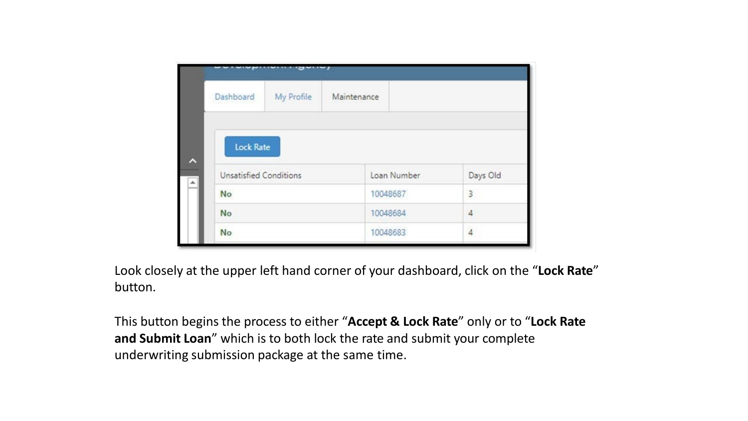| Dashboard                     | My Profile | Maintenance |               |
|-------------------------------|------------|-------------|---------------|
| <b>Lock Rate</b>              |            |             |               |
| <b>Unsatisfied Conditions</b> |            | Loan Number |               |
| No                            |            | 10048687    | Days Old<br>3 |
| No                            |            | 10048684    | 4             |

Look closely at the upper left hand corner of your dashboard, click on the "**Lock Rate**" button.

This button begins the process to either "**Accept & Lock Rate**" only or to "**Lock Rate and Submit Loan**" which is to both lock the rate and submit your complete underwriting submission package at the same time.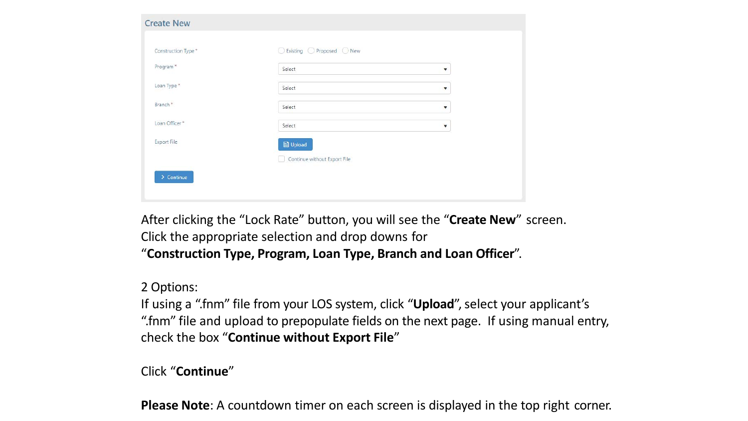| ▼ |
|---|
| ▼ |
| ۳ |
| ▼ |
|   |
|   |
|   |

After clicking the "Lock Rate" button, you will see the "**Create New**" screen. Click the appropriate selection and drop downs for "**Construction Type, Program, Loan Type, Branch and Loan Officer**".

## 2 Options:

If using a ".fnm" file from your LOS system, click "**Upload**", select your applicant's ".fnm" file and upload to prepopulate fields on the next page. If using manual entry, check the box "**Continue without Export File**"

Click "**Continue**"

**Please Note**: A countdown timer on each screen is displayed in the top right corner.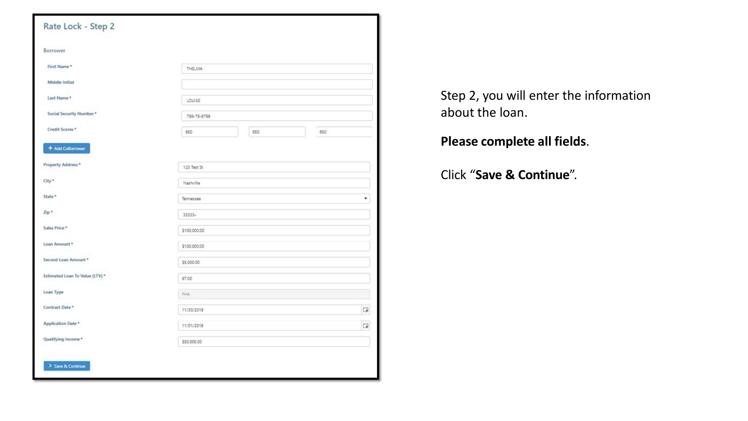| Borrower                        |               |     |
|---------------------------------|---------------|-----|
| First Name*                     |               |     |
|                                 | <b>THELMA</b> |     |
| Middle Initial                  |               |     |
| Last Name*                      | LOUISE        |     |
| Social Security Number *        | 789-78-9789   |     |
| Credit Scores *                 | 650<br>650    | 650 |
| + Add CoBorrower                |               |     |
| <b>Property Address*</b>        | 123 Test St   |     |
| City*                           | Nashville     |     |
| State *                         | Tennessee     | ۰   |
| Zip*                            | 33333-        |     |
| Sales Price *                   | \$100,000.00  |     |
| Loan Amount *                   | \$100,000.00  |     |
| Second Loan Amount *            | \$5,000.00    |     |
| Estimated Loan To Value (LTV) * | 97.00         |     |
| Loan Type                       | FHA           |     |
| Contract Date *                 | 11/30/2019    | ü   |
| <b>Application Date *</b>       | 11/01/2019    | 暟   |
| Qualifying Income*              | \$50,000.00   |     |

Step 2, you will enter the information about the loan.

**Please complete all fields**.

Click "**Save & Continue**".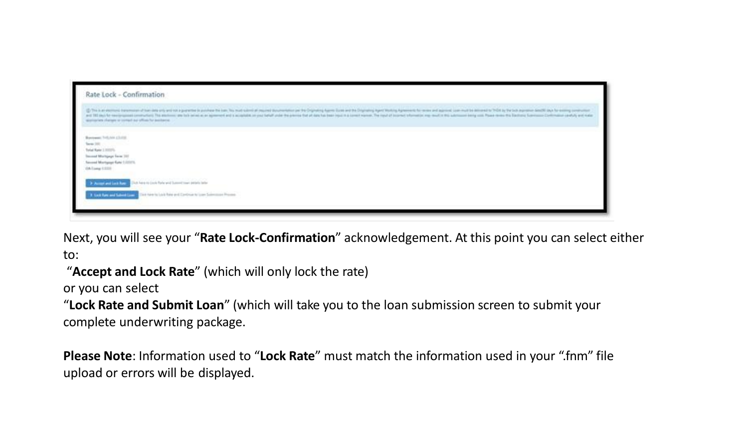

Next, you will see your "**Rate Lock-Confirmation**" acknowledgement. At this point you can select either to:

"**Accept and Lock Rate**" (which will only lock the rate)

or you can select

"**Lock Rate and Submit Loan**" (which will take you to the loan submission screen to submit your complete underwriting package.

**Please Note**: Information used to "**Lock Rate**" must match the information used in your ".fnm" file upload or errors will be displayed.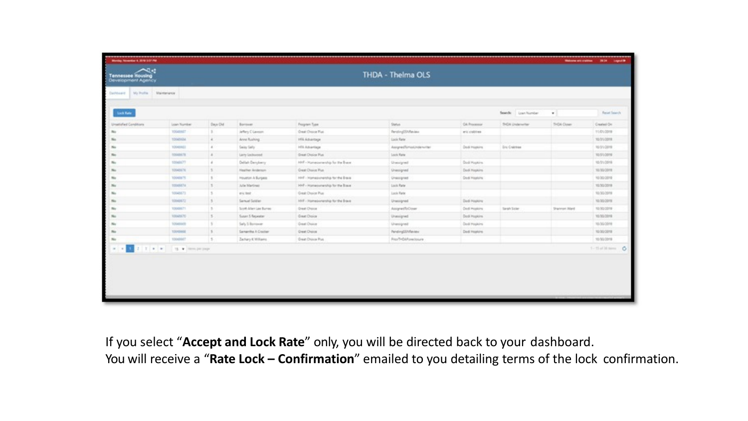| <b>SAy Profile</b><br>CarMond | Martianance         |               |                        |                                   |                                    |                     |                      |                     |              |              |
|-------------------------------|---------------------|---------------|------------------------|-----------------------------------|------------------------------------|---------------------|----------------------|---------------------|--------------|--------------|
| <b>Lock Rate</b>              |                     |               |                        |                                   |                                    |                     |                      | Search: Loan Number | $\mathbf{r}$ | Reset Teach  |
| Unsatisfied Conditions        | Loan Number         | Days Old      | Borrower               | <b>Fregrier</b> Type              | Status                             | CA Processor        |                      | THOIA Underwriter   | SiGA Down    | Created On   |
|                               | 10040847            |               | Jeffery Clavesm        | Onal: Droca Rus                   | Tenting23ARaulau                   | and collition.      |                      |                     |              | 11/01/2019   |
| No.                           | 10040104            | $\ddot{a}$    | Area Rushing           | 15% Aduarbage                     | Lock Rate                          |                     |                      |                     |              | 10/31/2018   |
| No.                           | 10040901            | $\alpha$      | Samy Sally             | HRLABAHRA                         | AssynalTorioUnderwriter            | Dedi Hopkins        | <b>Dru Crainting</b> |                     |              | 10/31/2019   |
| m                             | 10048478            | $\frac{1}{2}$ | Larry Lechwood         | Sheat Dusine Plus                 | Lock Rate                          |                     |                      |                     |              | 10/31/2019   |
| n.                            | 100ml/LTT           | $\delta$      | Deliah Decykery        | 100 - Hunesweetig for the Bace.   | Unsurpried                         | Dod Hopkins         |                      |                     |              | 10/31/2018   |
|                               | 10040676            | H.            | Heather Anderson       | Great Dioice Rus                  | Unesigned                          | Dod Hapkins         |                      |                     |              | 10/30/2019   |
|                               | 10040875            | 1             | Houston A Burgess      | sed - Homesvirening for the Brave | <b>Unaccipied</b>                  | <b>Dodi Hopkins</b> |                      |                     |              | 10/30/2010   |
|                               | 10048074            | 1             | After Martinson        | HHF - Homeoweaky for the Boxe     | Lock Rate                          |                     |                      |                     |              | 10/30/2019   |
|                               | 10048173            | 3             | wic text               | Great: Droicel Plus               | Lock Rate                          |                     |                      |                     |              | 10/30/2019   |
|                               | 10040571            | $\frac{1}{2}$ | Samuel Soldier         | 100 - Homeburgroßig für the Brave | Unempred                           | Ded Hopkins         |                      |                     |              | 10/30/2019   |
| n.                            | 10040671            | i ti          | Scott Allen Cas Burner | <b>Great Choca</b>                | AsignetToCose                      | Ded Hopkins         | Sarah Sicker         |                     | Sharmon Ward | 10/30/2018   |
|                               | 10040670            | $\frac{1}{2}$ | Susan 5 Repeater       | Green Choice                      | Unexigned                          | Dod Hugkins         |                      |                     |              | 10/30/2018   |
|                               | 100403018           | l ti          | Saly 5 Bernardt        | Gear Docum                        | Unergred                           | Ded Hopkins         |                      |                     |              | 10/30/2019   |
| m                             | 10040604            | $\frac{1}{2}$ | Samertha A Crecker     | Great Disice                      | <b>PendingSENReview</b>            | Ded Hopkins         |                      |                     |              | 10/20/2010   |
|                               | 10040847            | $\mathbb{R}$  | Zachary KVIII ams      | Dreat Draws Plus                  | Fran <sup>T</sup> HOM Intelligeure |                     |                      |                     |              | 10/30/2019   |
|                               | 19. W Hern per page |               |                        |                                   |                                    |                     |                      |                     |              | 1-Hallison O |
|                               |                     |               |                        |                                   |                                    |                     |                      |                     |              |              |

If you select "**Accept and Lock Rate**" only, you will be directed back to your dashboard.

You will receive a "**Rate Lock – Confirmation**" emailed to you detailing terms of the lock confirmation.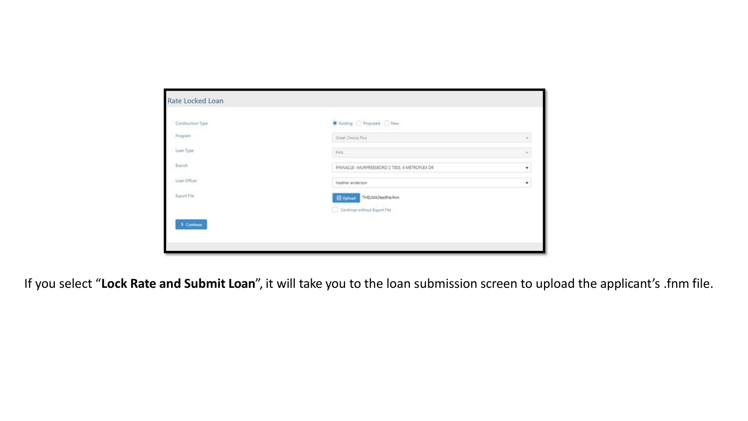| Construction Type | ● Existing ● Proposed ● New                   |                |
|-------------------|-----------------------------------------------|----------------|
| Program           | Great Choice Plus                             | $\mathcal V$   |
| Loan Type         | FHA.                                          | $\overline{w}$ |
| Branch            | PINNACLE--MURFREESBORO 2 7003, 4 METROPLEX DR |                |
| Loan Officer      | heather anderson                              | ۰              |
| Export File       | Dupload THELMA3testfile.frm                   |                |
|                   | Continue without Export File                  |                |

If you select "**Lock Rate and Submit Loan**", it will take you to the loan submission screen to upload the applicant's .fnm file.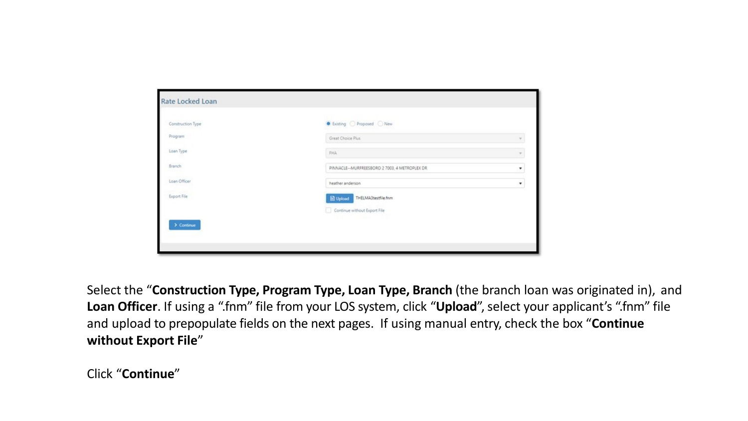| Construction Type        | C Existing Proposed New                       |                    |
|--------------------------|-----------------------------------------------|--------------------|
| Program                  | Great Choice Plus                             | $\mathbf{v}$       |
| Loan Type                | FHA.                                          | ×                  |
| Branch                   | PINNACLE--MURFREESBORO 2 7003, 4 METROPLEX DR | $\pmb{\mathrm{v}}$ |
| Loan Officer             | heather anderson.                             | $\pmb{\mathrm{v}}$ |
| 45 55 SEP<br>Export File | Dupload THELMA3testfile.frm                   |                    |
|                          | Continue without Export File                  |                    |

Select the "**Construction Type, Program Type, Loan Type, Branch** (the branch loan was originated in), and **Loan Officer**. If using a ".fnm" file from your LOS system, click "**Upload**", select your applicant's ".fnm" file and upload to prepopulate fields on the next pages. If using manual entry, check the box "**Continue without Export File**"

Click "**Continue**"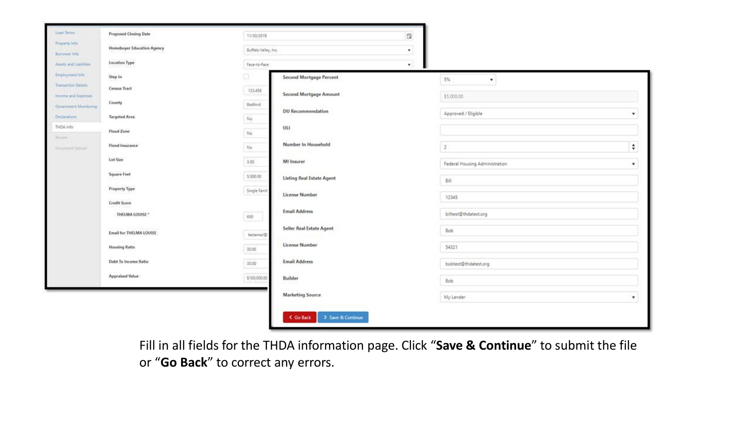| Loan Tenni                                 | <b>Proposed Closing Date</b>      | 11/30/2019           |                                  | 苣       |                                 |                    |
|--------------------------------------------|-----------------------------------|----------------------|----------------------------------|---------|---------------------------------|--------------------|
| Property Info<br>Borrower Info             | <b>Homebuyer Education Agency</b> | Buffalo Valley, Inc. |                                  | ۰       |                                 |                    |
| Assets and Liabilities                     | <b>Location Type</b>              | Face-to-Face         |                                  | $\star$ |                                 |                    |
| Employment Info                            | Step In                           | o                    | <b>Second Mortgage Percent</b>   |         | 5%<br>$\boldsymbol{\mathrm{v}}$ |                    |
| Transaction Details<br>Income and Expenses | Census Tract                      | 123.456              | Second Mortgage Amount           |         | \$5,000.00                      |                    |
| Government Monitoring                      | County                            | Bedford              |                                  |         |                                 |                    |
| Declarations                               | <b>Targeted Area</b>              | No:                  | <b>DU Recommendation</b>         |         | Approved / Eligible             | $\pmb{\mathrm{v}}$ |
| THDA Info<br>Review                        | Flood Zone                        | No.                  | ULI                              |         |                                 |                    |
| Document Upload                            | Flood Insurance                   | No.                  | Number In Household              |         | $\overline{2}$                  | ÷                  |
|                                            | Lot Size                          | 3.00                 | MI Insurer                       |         | Federal Housing Administration  | $\pmb{\mathrm{v}}$ |
|                                            | <b>Square Feet</b>                | 5,000.00             | <b>Listing Real Estate Agent</b> |         | Bill                            |                    |
|                                            | <b>Property Type</b>              | Single Famil         | <b>License Number</b>            |         | 12345                           |                    |
|                                            | <b>Credit Score</b>               |                      |                                  |         |                                 |                    |
|                                            | THELMA LOUISE *                   | 650                  | <b>Email Address</b>             |         | billtest@thdatest.org           |                    |
|                                            | Email for THELMA LOUISE           | bestemail@           | Seller Real Estate Agent         |         | Bob                             |                    |
|                                            | <b>Housing Ratio</b>              | 30.00                | <b>License Number</b>            |         | 54321                           |                    |
|                                            | Debt To Income Ratio              | 30.00                | <b>Email Address</b>             |         | bobtest@thdatest.org            |                    |
|                                            | <b>Appraised Value</b>            | \$100,000.00         | Builder                          |         | Bob                             |                    |
|                                            |                                   |                      | <b>Marketing Source</b>          |         | My Lender                       | $\pmb{\mathrm{v}}$ |
|                                            |                                   |                      | > Save & Continue<br>< Go Back   |         |                                 |                    |

Fill in all fields for the THDA information page. Click "**Save & Continue**" to submit the file or "**Go Back**" to correct any errors.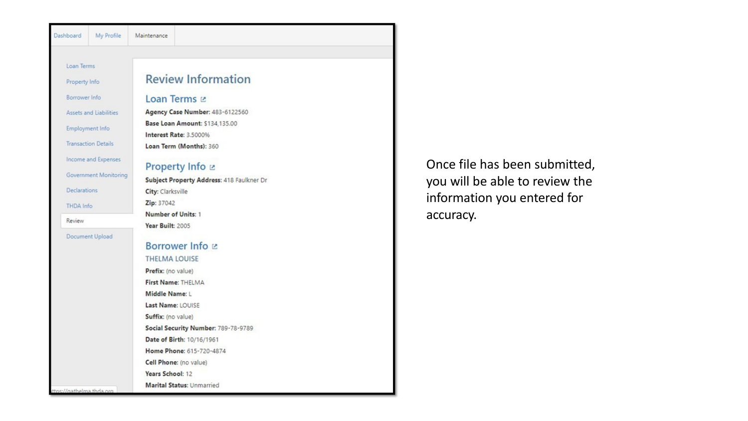| Dashboard     | My Profile                 | Maintenance                                              |  |
|---------------|----------------------------|----------------------------------------------------------|--|
|               |                            |                                                          |  |
| Loan Terms    |                            |                                                          |  |
| Property Info |                            | <b>Review Information</b>                                |  |
| Borrower Info |                            | Loan Terms Lz                                            |  |
|               | Assets and Liabilities     | Agency Case Number: 483-6122560                          |  |
|               | Employment Info            | Base Loan Amount: \$134,135.00<br>Interest Rate: 3.5000% |  |
|               | <b>Transaction Details</b> | Loan Term (Months): 360                                  |  |
|               | Income and Expenses        | Property Info <b>⊵</b>                                   |  |
|               | Government Monitoring      | Subject Property Address: 418 Faulkner Dr                |  |
| Declarations  |                            | City: Clarksville                                        |  |
| THDA Info     |                            | Zip: 37042                                               |  |
|               |                            | Number of Units: 1                                       |  |
| Review        |                            | Year Built: 2005                                         |  |
|               | Document Upload            |                                                          |  |
|               |                            | Borrower Info Lz                                         |  |
|               |                            | <b>THELMA LOUISE</b>                                     |  |
|               |                            | Prefix: (no value)                                       |  |
|               |                            | First Name: THELMA                                       |  |
|               |                            | Middle Name: L                                           |  |
|               |                            | Last Name: LOUISE                                        |  |
|               |                            | Suffix: (no value)                                       |  |
|               |                            | Social Security Number: 789-78-9789                      |  |
|               |                            | Date of Birth: 10/16/1961                                |  |

Home Phone: 615-720-4874 Cell Phone: (no value) Years School: 12

**Marital Status: Unmarried** 

Once file has been submitted, you will be able to review the information you entered for accuracy.

ps://gathelma.thda.org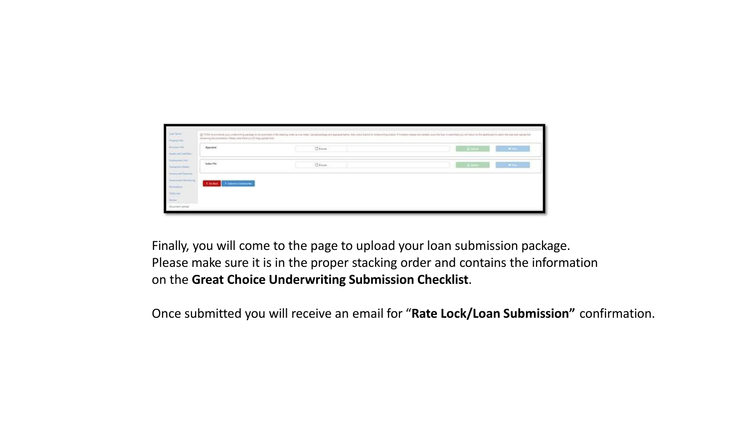

Finally, you will come to the page to upload your loan submission package. Please make sure it is in the proper stacking order and contains the information on the **Great Choice Underwriting Submission Checklist**.

Once submitted you will receive an email for "**Rate Lock/Loan Submission"** confirmation.